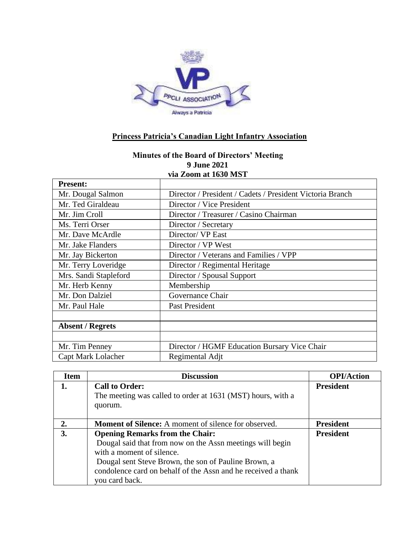

## **Princess Patricia's Canadian Light Infantry Association**

## **Minutes of the Board of Directors' Meeting 9 June 2021 via Zoom at 1630 MST**

| <b>Present:</b>         |                                                           |  |  |
|-------------------------|-----------------------------------------------------------|--|--|
| Mr. Dougal Salmon       | Director / President / Cadets / President Victoria Branch |  |  |
| Mr. Ted Giraldeau       | Director / Vice President                                 |  |  |
| Mr. Jim Croll           | Director / Treasurer / Casino Chairman                    |  |  |
| Ms. Terri Orser         | Director / Secretary                                      |  |  |
| Mr. Dave McArdle        | Director/ VP East                                         |  |  |
| Mr. Jake Flanders       | Director / VP West                                        |  |  |
| Mr. Jay Bickerton       | Director / Veterans and Families / VPP                    |  |  |
| Mr. Terry Loveridge     | Director / Regimental Heritage                            |  |  |
| Mrs. Sandi Stapleford   | Director / Spousal Support                                |  |  |
| Mr. Herb Kenny          | Membership                                                |  |  |
| Mr. Don Dalziel         | Governance Chair                                          |  |  |
| Mr. Paul Hale           | Past President                                            |  |  |
|                         |                                                           |  |  |
| <b>Absent / Regrets</b> |                                                           |  |  |
|                         |                                                           |  |  |
| Mr. Tim Penney          | Director / HGMF Education Bursary Vice Chair              |  |  |
| Capt Mark Lolacher      | Regimental Adjt                                           |  |  |

| <b>Item</b> | <b>Discussion</b>                                             | <b>OPI/Action</b> |
|-------------|---------------------------------------------------------------|-------------------|
|             | <b>Call to Order:</b>                                         | <b>President</b>  |
|             | The meeting was called to order at 1631 (MST) hours, with a   |                   |
|             | quorum.                                                       |                   |
|             |                                                               |                   |
| 2.          | <b>Moment of Silence:</b> A moment of silence for observed.   | <b>President</b>  |
| 3.          | <b>Opening Remarks from the Chair:</b>                        | <b>President</b>  |
|             | Dougal said that from now on the Assn meetings will begin     |                   |
|             | with a moment of silence.                                     |                   |
|             | Dougal sent Steve Brown, the son of Pauline Brown, a          |                   |
|             | condolence card on behalf of the Assn and he received a thank |                   |
|             | you card back.                                                |                   |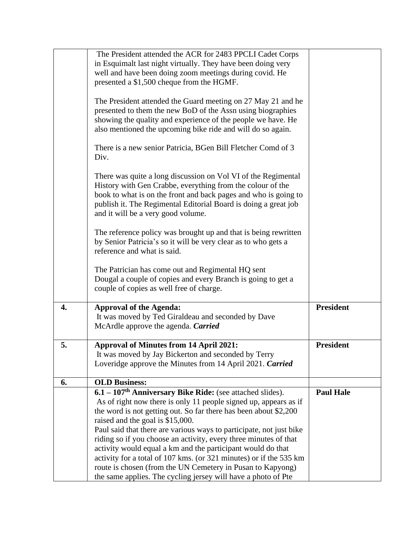|    | The President attended the ACR for 2483 PPCLI Cadet Corps               |                  |
|----|-------------------------------------------------------------------------|------------------|
|    | in Esquimalt last night virtually. They have been doing very            |                  |
|    | well and have been doing zoom meetings during covid. He                 |                  |
|    | presented a \$1,500 cheque from the HGMF.                               |                  |
|    |                                                                         |                  |
|    | The President attended the Guard meeting on 27 May 21 and he            |                  |
|    | presented to them the new BoD of the Assn using biographies             |                  |
|    | showing the quality and experience of the people we have. He            |                  |
|    | also mentioned the upcoming bike ride and will do so again.             |                  |
|    |                                                                         |                  |
|    | There is a new senior Patricia, BGen Bill Fletcher Comd of 3            |                  |
|    | Div.                                                                    |                  |
|    |                                                                         |                  |
|    | There was quite a long discussion on Vol VI of the Regimental           |                  |
|    | History with Gen Crabbe, everything from the colour of the              |                  |
|    | book to what is on the front and back pages and who is going to         |                  |
|    | publish it. The Regimental Editorial Board is doing a great job         |                  |
|    | and it will be a very good volume.                                      |                  |
|    |                                                                         |                  |
|    | The reference policy was brought up and that is being rewritten         |                  |
|    | by Senior Patricia's so it will be very clear as to who gets a          |                  |
|    | reference and what is said.                                             |                  |
|    |                                                                         |                  |
|    |                                                                         |                  |
|    | The Patrician has come out and Regimental HQ sent                       |                  |
|    | Dougal a couple of copies and every Branch is going to get a            |                  |
|    | couple of copies as well free of charge.                                |                  |
| 4. | <b>Approval of the Agenda:</b>                                          | <b>President</b> |
|    | It was moved by Ted Giraldeau and seconded by Dave                      |                  |
|    | McArdle approve the agenda. Carried                                     |                  |
|    |                                                                         |                  |
| 5. | <b>Approval of Minutes from 14 April 2021:</b>                          | <b>President</b> |
|    | It was moved by Jay Bickerton and seconded by Terry                     |                  |
|    | Loveridge approve the Minutes from 14 April 2021. Carried               |                  |
|    |                                                                         |                  |
| 6. | <b>OLD Business:</b>                                                    |                  |
|    | $6.1 - 107$ <sup>th</sup> Anniversary Bike Ride: (see attached slides). | <b>Paul Hale</b> |
|    | As of right now there is only 11 people signed up, appears as if        |                  |
|    | the word is not getting out. So far there has been about \$2,200        |                  |
|    | raised and the goal is \$15,000.                                        |                  |
|    | Paul said that there are various ways to participate, not just bike     |                  |
|    | riding so if you choose an activity, every three minutes of that        |                  |
|    | activity would equal a km and the participant would do that             |                  |
|    | activity for a total of 107 kms. (or 321 minutes) or if the 535 km      |                  |
|    |                                                                         |                  |
|    | route is chosen (from the UN Cemetery in Pusan to Kapyong)              |                  |
|    | the same applies. The cycling jersey will have a photo of Pte           |                  |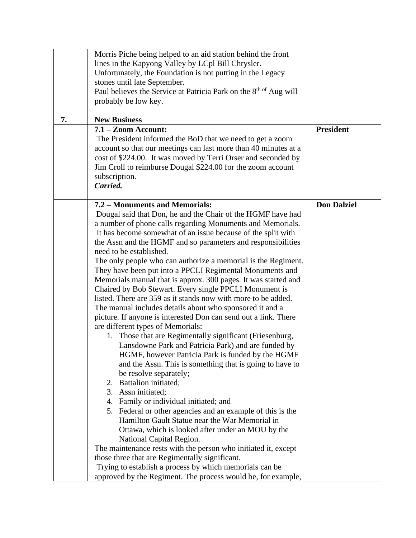|    | Morris Piche being helped to an aid station behind the front<br>lines in the Kapyong Valley by LCpl Bill Chrysler.<br>Unfortunately, the Foundation is not putting in the Legacy<br>stones until late September.<br>Paul believes the Service at Patricia Park on the 8 <sup>th of</sup> Aug will<br>probably be low key.                                                                                                                                                                                                                                                                                                                                                                                                                                                                                                                                                                                                                                                                                                                                                                                                                                                                                                                                                                                                                                                                                                                                                                                                                                                                                                     |                    |
|----|-------------------------------------------------------------------------------------------------------------------------------------------------------------------------------------------------------------------------------------------------------------------------------------------------------------------------------------------------------------------------------------------------------------------------------------------------------------------------------------------------------------------------------------------------------------------------------------------------------------------------------------------------------------------------------------------------------------------------------------------------------------------------------------------------------------------------------------------------------------------------------------------------------------------------------------------------------------------------------------------------------------------------------------------------------------------------------------------------------------------------------------------------------------------------------------------------------------------------------------------------------------------------------------------------------------------------------------------------------------------------------------------------------------------------------------------------------------------------------------------------------------------------------------------------------------------------------------------------------------------------------|--------------------|
| 7. | <b>New Business</b>                                                                                                                                                                                                                                                                                                                                                                                                                                                                                                                                                                                                                                                                                                                                                                                                                                                                                                                                                                                                                                                                                                                                                                                                                                                                                                                                                                                                                                                                                                                                                                                                           |                    |
|    | $7.1 - Zoom$ Account:<br>The President informed the BoD that we need to get a zoom<br>account so that our meetings can last more than 40 minutes at a<br>cost of \$224.00. It was moved by Terri Orser and seconded by<br>Jim Croll to reimburse Dougal \$224.00 for the zoom account<br>subscription.<br>Carried.                                                                                                                                                                                                                                                                                                                                                                                                                                                                                                                                                                                                                                                                                                                                                                                                                                                                                                                                                                                                                                                                                                                                                                                                                                                                                                            | <b>President</b>   |
|    | 7.2 – Monuments and Memorials:<br>Dougal said that Don, he and the Chair of the HGMF have had<br>a number of phone calls regarding Monuments and Memorials.<br>It has become somewhat of an issue because of the split with<br>the Assn and the HGMF and so parameters and responsibilities<br>need to be established.<br>The only people who can authorize a memorial is the Regiment.<br>They have been put into a PPCLI Regimental Monuments and<br>Memorials manual that is approx. 300 pages. It was started and<br>Chaired by Bob Stewart. Every single PPCLI Monument is<br>listed. There are 359 as it stands now with more to be added.<br>The manual includes details about who sponsored it and a<br>picture. If anyone is interested Don can send out a link. There<br>are different types of Memorials:<br>1. Those that are Regimentally significant (Friesenburg,<br>Lansdowne Park and Patricia Park) and are funded by<br>HGMF, however Patricia Park is funded by the HGMF<br>and the Assn. This is something that is going to have to<br>be resolve separately;<br>2. Battalion initiated;<br>3. Assn initiated;<br>4. Family or individual initiated; and<br>5. Federal or other agencies and an example of this is the<br>Hamilton Gault Statue near the War Memorial in<br>Ottawa, which is looked after under an MOU by the<br>National Capital Region.<br>The maintenance rests with the person who initiated it, except<br>those three that are Regimentally significant.<br>Trying to establish a process by which memorials can be<br>approved by the Regiment. The process would be, for example, | <b>Don Dalziel</b> |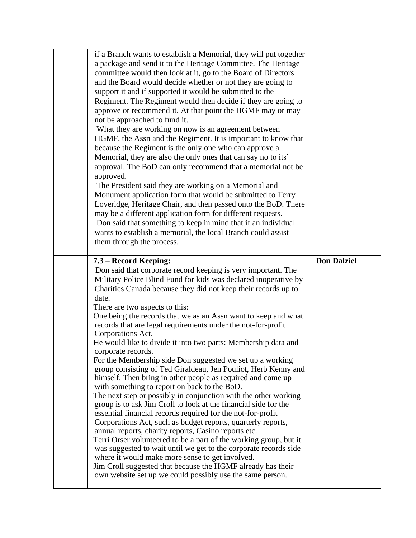| if a Branch wants to establish a Memorial, they will put together<br>a package and send it to the Heritage Committee. The Heritage<br>committee would then look at it, go to the Board of Directors<br>and the Board would decide whether or not they are going to<br>support it and if supported it would be submitted to the<br>Regiment. The Regiment would then decide if they are going to<br>approve or recommend it. At that point the HGMF may or may<br>not be approached to fund it.<br>What they are working on now is an agreement between<br>HGMF, the Assn and the Regiment. It is important to know that<br>because the Regiment is the only one who can approve a<br>Memorial, they are also the only ones that can say no to its'<br>approval. The BoD can only recommend that a memorial not be<br>approved.<br>The President said they are working on a Memorial and<br>Monument application form that would be submitted to Terry<br>Loveridge, Heritage Chair, and then passed onto the BoD. There<br>may be a different application form for different requests.<br>Don said that something to keep in mind that if an individual<br>wants to establish a memorial, the local Branch could assist<br>them through the process.                                                                                                                                                                     |                    |
|--------------------------------------------------------------------------------------------------------------------------------------------------------------------------------------------------------------------------------------------------------------------------------------------------------------------------------------------------------------------------------------------------------------------------------------------------------------------------------------------------------------------------------------------------------------------------------------------------------------------------------------------------------------------------------------------------------------------------------------------------------------------------------------------------------------------------------------------------------------------------------------------------------------------------------------------------------------------------------------------------------------------------------------------------------------------------------------------------------------------------------------------------------------------------------------------------------------------------------------------------------------------------------------------------------------------------------------------------------------------------------------------------------------------------|--------------------|
| 7.3 – Record Keeping:<br>Don said that corporate record keeping is very important. The<br>Military Police Blind Fund for kids was declared inoperative by<br>Charities Canada because they did not keep their records up to<br>date.<br>There are two aspects to this:<br>One being the records that we as an Assn want to keep and what<br>records that are legal requirements under the not-for-profit<br>Corporations Act.<br>He would like to divide it into two parts: Membership data and<br>corporate records.<br>For the Membership side Don suggested we set up a working<br>group consisting of Ted Giraldeau, Jen Pouliot, Herb Kenny and<br>himself. Then bring in other people as required and come up<br>with something to report on back to the BoD.<br>The next step or possibly in conjunction with the other working<br>group is to ask Jim Croll to look at the financial side for the<br>essential financial records required for the not-for-profit<br>Corporations Act, such as budget reports, quarterly reports,<br>annual reports, charity reports, Casino reports etc.<br>Terri Orser volunteered to be a part of the working group, but it<br>was suggested to wait until we get to the corporate records side<br>where it would make more sense to get involved.<br>Jim Croll suggested that because the HGMF already has their<br>own website set up we could possibly use the same person. | <b>Don Dalziel</b> |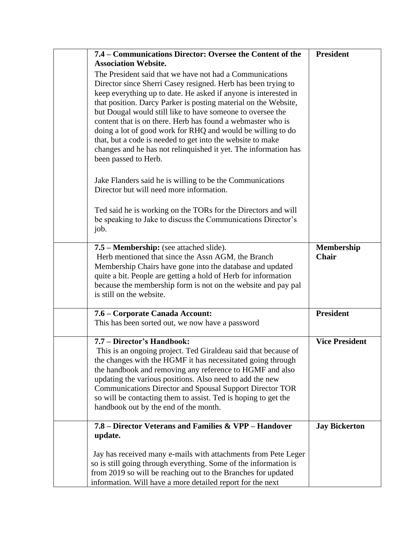| 7.4 - Communications Director: Oversee the Content of the<br><b>Association Website.</b>                                                                                                                                                                                                                                                                                                                                                                                                                                                                                                                             | <b>President</b>                  |
|----------------------------------------------------------------------------------------------------------------------------------------------------------------------------------------------------------------------------------------------------------------------------------------------------------------------------------------------------------------------------------------------------------------------------------------------------------------------------------------------------------------------------------------------------------------------------------------------------------------------|-----------------------------------|
| The President said that we have not had a Communications<br>Director since Sherri Casey resigned. Herb has been trying to<br>keep everything up to date. He asked if anyone is interested in<br>that position. Darcy Parker is posting material on the Website,<br>but Dougal would still like to have someone to oversee the<br>content that is on there. Herb has found a webmaster who is<br>doing a lot of good work for RHQ and would be willing to do<br>that, but a code is needed to get into the website to make<br>changes and he has not relinquished it yet. The information has<br>been passed to Herb. |                                   |
| Jake Flanders said he is willing to be the Communications<br>Director but will need more information.                                                                                                                                                                                                                                                                                                                                                                                                                                                                                                                |                                   |
| Ted said he is working on the TORs for the Directors and will<br>be speaking to Jake to discuss the Communications Director's<br>job.                                                                                                                                                                                                                                                                                                                                                                                                                                                                                |                                   |
| 7.5 – Membership: (see attached slide).<br>Herb mentioned that since the Assn AGM, the Branch<br>Membership Chairs have gone into the database and updated<br>quite a bit. People are getting a hold of Herb for information<br>because the membership form is not on the website and pay pal<br>is still on the website.                                                                                                                                                                                                                                                                                            | <b>Membership</b><br><b>Chair</b> |
| 7.6 – Corporate Canada Account:<br>This has been sorted out, we now have a password                                                                                                                                                                                                                                                                                                                                                                                                                                                                                                                                  | <b>President</b>                  |
| 7.7 - Director's Handbook:<br>This is an ongoing project. Ted Giraldeau said that because of<br>the changes with the HGMF it has necessitated going through<br>the handbook and removing any reference to HGMF and also<br>updating the various positions. Also need to add the new<br><b>Communications Director and Spousal Support Director TOR</b><br>so will be contacting them to assist. Ted is hoping to get the<br>handbook out by the end of the month.                                                                                                                                                    | <b>Vice President</b>             |
| 7.8 – Director Veterans and Families & VPP – Handover<br>update.                                                                                                                                                                                                                                                                                                                                                                                                                                                                                                                                                     | <b>Jay Bickerton</b>              |
| Jay has received many e-mails with attachments from Pete Leger<br>so is still going through everything. Some of the information is<br>from 2019 so will be reaching out to the Branches for updated<br>information. Will have a more detailed report for the next                                                                                                                                                                                                                                                                                                                                                    |                                   |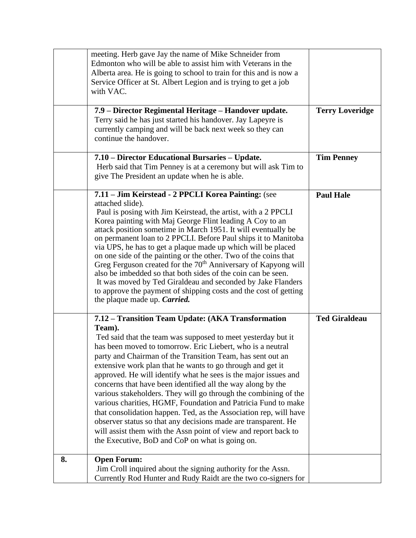|    | meeting. Herb gave Jay the name of Mike Schneider from<br>Edmonton who will be able to assist him with Veterans in the<br>Alberta area. He is going to school to train for this and is now a<br>Service Officer at St. Albert Legion and is trying to get a job<br>with VAC.<br>7.9 - Director Regimental Heritage - Handover update.                                                                                                                                                                                                                                                                                                                                                                                                                                                                                                                     | <b>Terry Loveridge</b> |
|----|-----------------------------------------------------------------------------------------------------------------------------------------------------------------------------------------------------------------------------------------------------------------------------------------------------------------------------------------------------------------------------------------------------------------------------------------------------------------------------------------------------------------------------------------------------------------------------------------------------------------------------------------------------------------------------------------------------------------------------------------------------------------------------------------------------------------------------------------------------------|------------------------|
|    | Terry said he has just started his handover. Jay Lapeyre is<br>currently camping and will be back next week so they can<br>continue the handover.                                                                                                                                                                                                                                                                                                                                                                                                                                                                                                                                                                                                                                                                                                         |                        |
|    | 7.10 – Director Educational Bursaries – Update.<br>Herb said that Tim Penney is at a ceremony but will ask Tim to<br>give The President an update when he is able.                                                                                                                                                                                                                                                                                                                                                                                                                                                                                                                                                                                                                                                                                        | <b>Tim Penney</b>      |
|    | 7.11 - Jim Keirstead - 2 PPCLI Korea Painting: (see<br>attached slide).<br>Paul is posing with Jim Keirstead, the artist, with a 2 PPCLI<br>Korea painting with Maj George Flint leading A Coy to an<br>attack position sometime in March 1951. It will eventually be<br>on permanent loan to 2 PPCLI. Before Paul ships it to Manitoba<br>via UPS, he has to get a plaque made up which will be placed<br>on one side of the painting or the other. Two of the coins that<br>Greg Ferguson created for the 70 <sup>th</sup> Anniversary of Kapyong will<br>also be imbedded so that both sides of the coin can be seen.<br>It was moved by Ted Giraldeau and seconded by Jake Flanders<br>to approve the payment of shipping costs and the cost of getting<br>the plaque made up. <i>Carried</i> .                                                       | <b>Paul Hale</b>       |
|    | 7.12 – Transition Team Update: (AKA Transformation<br>Team).<br>Ted said that the team was supposed to meet yesterday but it<br>has been moved to tomorrow. Eric Liebert, who is a neutral<br>party and Chairman of the Transition Team, has sent out an<br>extensive work plan that he wants to go through and get it<br>approved. He will identify what he sees is the major issues and<br>concerns that have been identified all the way along by the<br>various stakeholders. They will go through the combining of the<br>various charities, HGMF, Foundation and Patricia Fund to make<br>that consolidation happen. Ted, as the Association rep, will have<br>observer status so that any decisions made are transparent. He<br>will assist them with the Assn point of view and report back to<br>the Executive, BoD and CoP on what is going on. | <b>Ted Giraldeau</b>   |
| 8. | <b>Open Forum:</b><br>Jim Croll inquired about the signing authority for the Assn.<br>Currently Rod Hunter and Rudy Raidt are the two co-signers for                                                                                                                                                                                                                                                                                                                                                                                                                                                                                                                                                                                                                                                                                                      |                        |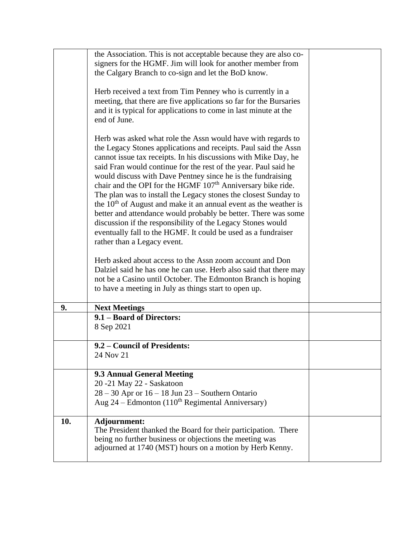|     | the Association. This is not acceptable because they are also co-<br>signers for the HGMF. Jim will look for another member from                                                                                                                                                                                                                                                                                                                                                                                                                                                                                                                                                                                                                                                          |  |
|-----|-------------------------------------------------------------------------------------------------------------------------------------------------------------------------------------------------------------------------------------------------------------------------------------------------------------------------------------------------------------------------------------------------------------------------------------------------------------------------------------------------------------------------------------------------------------------------------------------------------------------------------------------------------------------------------------------------------------------------------------------------------------------------------------------|--|
|     | the Calgary Branch to co-sign and let the BoD know.                                                                                                                                                                                                                                                                                                                                                                                                                                                                                                                                                                                                                                                                                                                                       |  |
|     | Herb received a text from Tim Penney who is currently in a<br>meeting, that there are five applications so far for the Bursaries<br>and it is typical for applications to come in last minute at the<br>end of June.                                                                                                                                                                                                                                                                                                                                                                                                                                                                                                                                                                      |  |
|     | Herb was asked what role the Assn would have with regards to<br>the Legacy Stones applications and receipts. Paul said the Assn<br>cannot issue tax receipts. In his discussions with Mike Day, he<br>said Fran would continue for the rest of the year. Paul said he<br>would discuss with Dave Pentney since he is the fundraising<br>chair and the OPI for the HGMF 107 <sup>th</sup> Anniversary bike ride.<br>The plan was to install the Legacy stones the closest Sunday to<br>the $10th$ of August and make it an annual event as the weather is<br>better and attendance would probably be better. There was some<br>discussion if the responsibility of the Legacy Stones would<br>eventually fall to the HGMF. It could be used as a fundraiser<br>rather than a Legacy event. |  |
|     | Herb asked about access to the Assn zoom account and Don<br>Dalziel said he has one he can use. Herb also said that there may<br>not be a Casino until October. The Edmonton Branch is hoping<br>to have a meeting in July as things start to open up.                                                                                                                                                                                                                                                                                                                                                                                                                                                                                                                                    |  |
| 9.  | <b>Next Meetings</b>                                                                                                                                                                                                                                                                                                                                                                                                                                                                                                                                                                                                                                                                                                                                                                      |  |
|     | 9.1 - Board of Directors:<br>8 Sep 2021                                                                                                                                                                                                                                                                                                                                                                                                                                                                                                                                                                                                                                                                                                                                                   |  |
|     | 9.2 – Council of Presidents:<br>24 Nov 21                                                                                                                                                                                                                                                                                                                                                                                                                                                                                                                                                                                                                                                                                                                                                 |  |
|     | <b>9.3 Annual General Meeting</b>                                                                                                                                                                                                                                                                                                                                                                                                                                                                                                                                                                                                                                                                                                                                                         |  |
|     | 20 -21 May 22 - Saskatoon<br>$28 - 30$ Apr or $16 - 18$ Jun $23$ – Southern Ontario                                                                                                                                                                                                                                                                                                                                                                                                                                                                                                                                                                                                                                                                                                       |  |
|     | Aug $24$ – Edmonton (110 <sup>th</sup> Regimental Anniversary)                                                                                                                                                                                                                                                                                                                                                                                                                                                                                                                                                                                                                                                                                                                            |  |
| 10. | Adjournment:<br>The President thanked the Board for their participation. There<br>being no further business or objections the meeting was<br>adjourned at 1740 (MST) hours on a motion by Herb Kenny.                                                                                                                                                                                                                                                                                                                                                                                                                                                                                                                                                                                     |  |